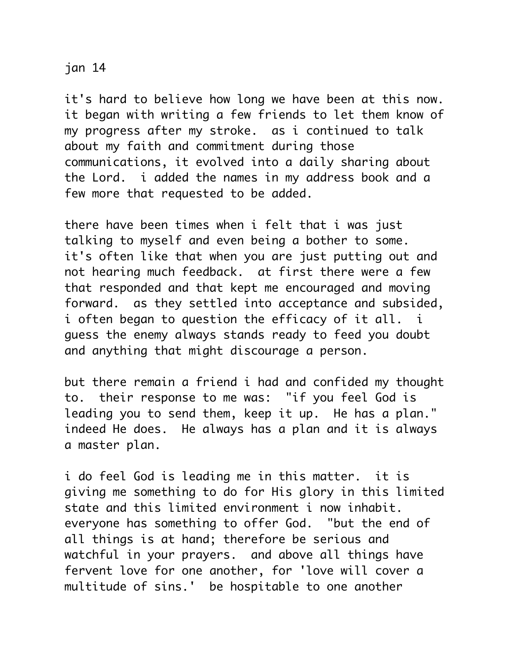## jan 14

it's hard to believe how long we have been at this now. it began with writing a few friends to let them know of my progress after my stroke. as i continued to talk about my faith and commitment during those communications, it evolved into a daily sharing about the Lord. i added the names in my address book and a few more that requested to be added.

there have been times when i felt that i was just talking to myself and even being a bother to some. it's often like that when you are just putting out and not hearing much feedback. at first there were a few that responded and that kept me encouraged and moving forward. as they settled into acceptance and subsided, i often began to question the efficacy of it all. i guess the enemy always stands ready to feed you doubt and anything that might discourage a person.

but there remain a friend i had and confided my thought to. their response to me was: "if you feel God is leading you to send them, keep it up. He has a plan." indeed He does. He always has a plan and it is always a master plan.

i do feel God is leading me in this matter. it is giving me something to do for His glory in this limited state and this limited environment i now inhabit. everyone has something to offer God. "but the end of all things is at hand; therefore be serious and watchful in your prayers. and above all things have fervent love for one another, for 'love will cover a multitude of sins.' be hospitable to one another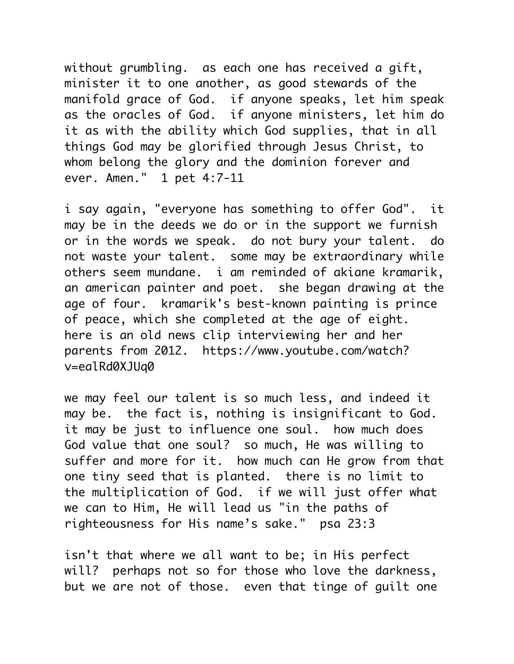without grumbling. as each one has received a gift, minister it to one another, as good stewards of the manifold grace of God. if anyone speaks, let him speak as the oracles of God. if anyone ministers, let him do it as with the ability which God supplies, that in all things God may be glorified through Jesus Christ, to whom belong the glory and the dominion forever and ever. Amen." 1 pet 4:7-11

i say again, "everyone has something to offer God". it may be in the deeds we do or in the support we furnish or in the words we speak. do not bury your talent. do not waste your talent. some may be extraordinary while others seem mundane. i am reminded of akiane kramarik, an american painter and poet. she began drawing at the age of four. kramarik's best-known painting is prince of peace, which she completed at the age of eight. here is an old news clip interviewing her and her parents from 2012. https://www.youtube.com/watch? v=ealRd0XJUq0

we may feel our talent is so much less, and indeed it may be. the fact is, nothing is insignificant to God. it may be just to influence one soul. how much does God value that one soul? so much, He was willing to suffer and more for it. how much can He grow from that one tiny seed that is planted. there is no limit to the multiplication of God. if we will just offer what we can to Him, He will lead us "in the paths of righteousness for His name's sake." psa 23:3

isn't that where we all want to be; in His perfect will? perhaps not so for those who love the darkness, but we are not of those. even that tinge of guilt one